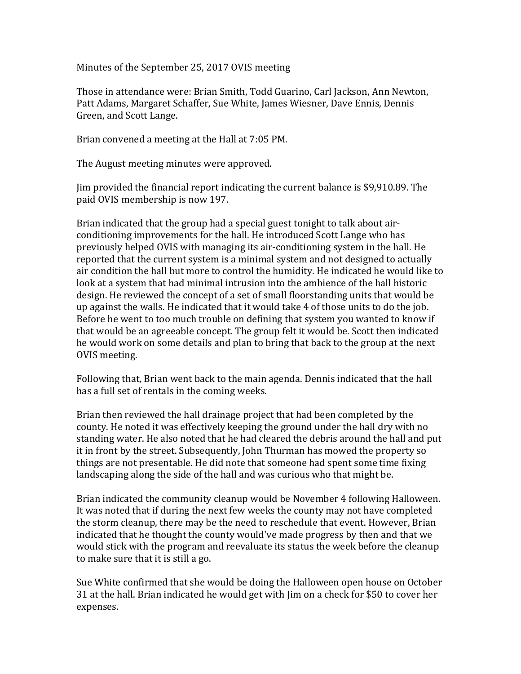Minutes of the September 25, 2017 OVIS meeting

Those in attendance were: Brian Smith, Todd Guarino, Carl Jackson, Ann Newton, Patt Adams, Margaret Schaffer, Sue White, James Wiesner, Dave Ennis, Dennis Green, and Scott Lange.

Brian convened a meeting at the Hall at 7:05 PM.

The August meeting minutes were approved.

Jim provided the financial report indicating the current balance is \$9,910.89. The paid OVIS membership is now 197.

Brian indicated that the group had a special guest tonight to talk about airconditioning improvements for the hall. He introduced Scott Lange who has previously helped OVIS with managing its air-conditioning system in the hall. He reported that the current system is a minimal system and not designed to actually air condition the hall but more to control the humidity. He indicated he would like to look at a system that had minimal intrusion into the ambience of the hall historic design. He reviewed the concept of a set of small floorstanding units that would be up against the walls. He indicated that it would take 4 of those units to do the job. Before he went to too much trouble on defining that system you wanted to know if that would be an agreeable concept. The group felt it would be. Scott then indicated he would work on some details and plan to bring that back to the group at the next OVIS meeting.

Following that, Brian went back to the main agenda. Dennis indicated that the hall has a full set of rentals in the coming weeks.

Brian then reviewed the hall drainage project that had been completed by the county. He noted it was effectively keeping the ground under the hall dry with no standing water. He also noted that he had cleared the debris around the hall and put it in front by the street. Subsequently, John Thurman has mowed the property so things are not presentable. He did note that someone had spent some time fixing landscaping along the side of the hall and was curious who that might be.

Brian indicated the community cleanup would be November 4 following Halloween. It was noted that if during the next few weeks the county may not have completed the storm cleanup, there may be the need to reschedule that event. However, Brian indicated that he thought the county would've made progress by then and that we would stick with the program and reevaluate its status the week before the cleanup to make sure that it is still a go.

Sue White confirmed that she would be doing the Halloween open house on October 31 at the hall. Brian indicated he would get with Jim on a check for \$50 to cover her expenses.